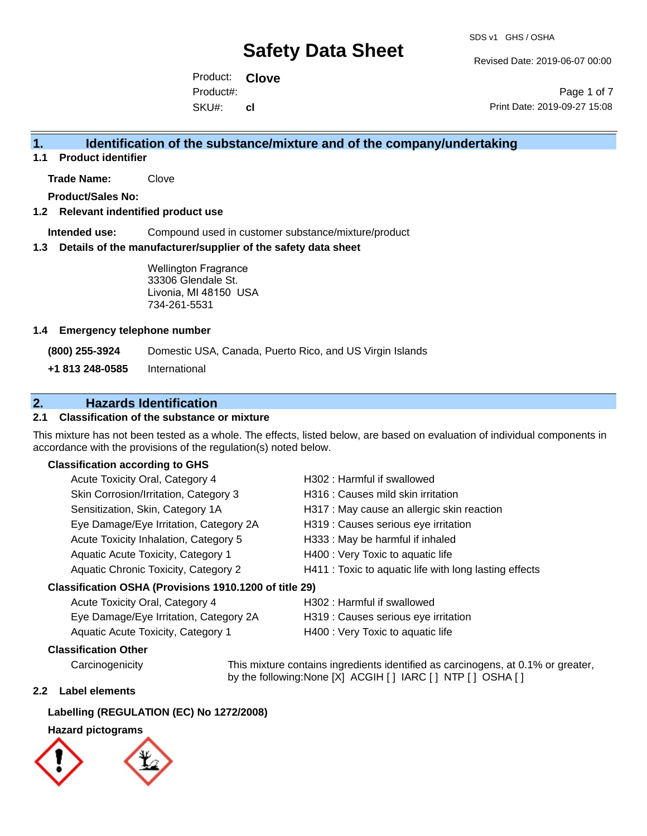Revised Date: 2019-06-07 00:00

Product: **Clove**  SKU#: Product#: **cl**

Page 1 of 7 Print Date: 2019-09-27 15:08

## **1. Identification of the substance/mixture and of the company/undertaking**

**1.1 Product identifier**

**Trade Name:** Clove

**Product/Sales No:**

### **1.2 Relevant indentified product use**

**Intended use:** Compound used in customer substance/mixture/product

#### **1.3 Details of the manufacturer/supplier of the safety data sheet**

Wellington Fragrance 33306 Glendale St. Livonia, MI 48150 USA 734-261-5531

#### **1.4 Emergency telephone number**

**(800) 255-3924** Domestic USA, Canada, Puerto Rico, and US Virgin Islands

**+1 813 248-0585** International

## **2. Hazards Identification**

### **2.1 Classification of the substance or mixture**

This mixture has not been tested as a whole. The effects, listed below, are based on evaluation of individual components in accordance with the provisions of the regulation(s) noted below.

#### **Classification according to GHS**

| Acute Toxicity Oral, Category 4                     | H302: Harmful if swallowed                             |
|-----------------------------------------------------|--------------------------------------------------------|
| Skin Corrosion/Irritation, Category 3               | H316 : Causes mild skin irritation                     |
| Sensitization, Skin, Category 1A                    | H317 : May cause an allergic skin reaction             |
| Eye Damage/Eye Irritation, Category 2A              | H319 : Causes serious eye irritation                   |
| Acute Toxicity Inhalation, Category 5               | H333: May be harmful if inhaled                        |
| Aquatic Acute Toxicity, Category 1                  | H400 : Very Toxic to aquatic life                      |
| Aquatic Chronic Toxicity, Category 2                | H411 : Toxic to aquatic life with long lasting effects |
| ssification OSHA (Provisions 1910 1200 of title 29) |                                                        |

### **Classification OSHA (Provisions 1910.1200 of title 29)**

| Acute Toxicity Oral, Category 4        | H302 : Harmful if swallowed          |
|----------------------------------------|--------------------------------------|
| Eye Damage/Eye Irritation, Category 2A | H319 : Causes serious eye irritation |
| Aquatic Acute Toxicity, Category 1     | H400 : Very Toxic to aquatic life    |

#### **Classification Other**

Carcinogenicity This mixture contains ingredients identified as carcinogens, at 0.1% or greater, by the following:None [X] ACGIH [ ] IARC [ ] NTP [ ] OSHA [ ]

#### **2.2 Label elements**

#### **Labelling (REGULATION (EC) No 1272/2008)**

### **Hazard pictograms**

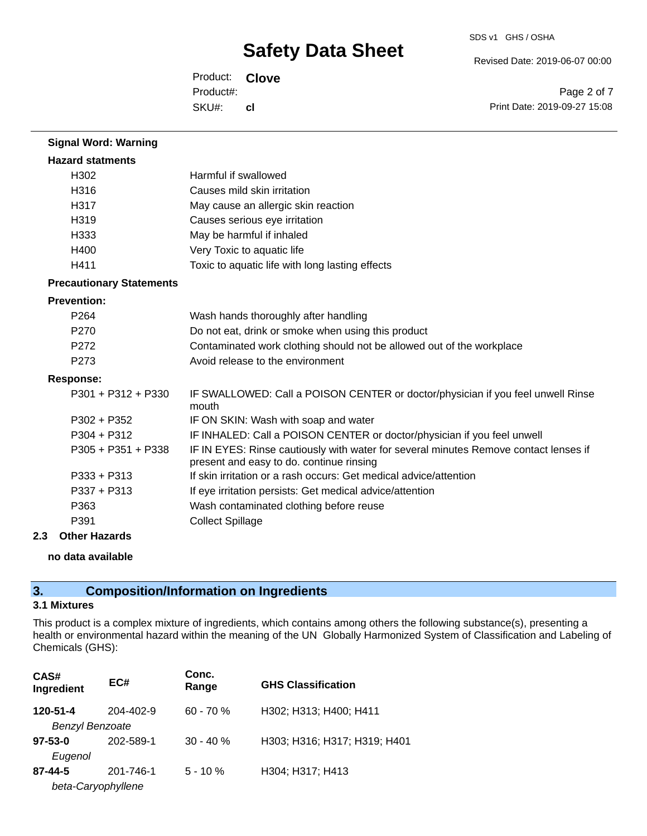Revised Date: 2019-06-07 00:00

Product: **Clove**  SKU#: Product#: **cl**

Page 2 of 7 Print Date: 2019-09-27 15:08

| <b>Signal Word: Warning</b>     |                                                                                                                                  |
|---------------------------------|----------------------------------------------------------------------------------------------------------------------------------|
| <b>Hazard statments</b>         |                                                                                                                                  |
| H <sub>302</sub>                | Harmful if swallowed                                                                                                             |
| H316                            | Causes mild skin irritation                                                                                                      |
| H317                            | May cause an allergic skin reaction                                                                                              |
| H319                            | Causes serious eye irritation                                                                                                    |
| H333                            | May be harmful if inhaled                                                                                                        |
| H400                            | Very Toxic to aquatic life                                                                                                       |
| H411                            | Toxic to aquatic life with long lasting effects                                                                                  |
| <b>Precautionary Statements</b> |                                                                                                                                  |
| <b>Prevention:</b>              |                                                                                                                                  |
| P <sub>264</sub>                | Wash hands thoroughly after handling                                                                                             |
| P <sub>270</sub>                | Do not eat, drink or smoke when using this product                                                                               |
| P <sub>272</sub>                | Contaminated work clothing should not be allowed out of the workplace                                                            |
| P273                            | Avoid release to the environment                                                                                                 |
| <b>Response:</b>                |                                                                                                                                  |
| $P301 + P312 + P330$            | IF SWALLOWED: Call a POISON CENTER or doctor/physician if you feel unwell Rinse<br>mouth                                         |
| P302 + P352                     | IF ON SKIN: Wash with soap and water                                                                                             |
| $P304 + P312$                   | IF INHALED: Call a POISON CENTER or doctor/physician if you feel unwell                                                          |
| $P305 + P351 + P338$            | IF IN EYES: Rinse cautiously with water for several minutes Remove contact lenses if<br>present and easy to do. continue rinsing |
| $P333 + P313$                   | If skin irritation or a rash occurs: Get medical advice/attention                                                                |
| $P337 + P313$                   | If eye irritation persists: Get medical advice/attention                                                                         |
| P363                            | Wash contaminated clothing before reuse                                                                                          |
| P391                            | <b>Collect Spillage</b>                                                                                                          |

#### **2.3 Other Hazards**

#### **no data available**

# **3. Composition/Information on Ingredients**

## **3.1 Mixtures**

This product is a complex mixture of ingredients, which contains among others the following substance(s), presenting a health or environmental hazard within the meaning of the UN Globally Harmonized System of Classification and Labeling of Chemicals (GHS):

| CAS#<br>Ingredient                  | EC#       | Conc.<br>Range | <b>GHS Classification</b>    |
|-------------------------------------|-----------|----------------|------------------------------|
| 120-51-4<br><b>Benzyl Benzoate</b>  | 204-402-9 | $60 - 70 %$    | H302; H313; H400; H411       |
| $97 - 53 - 0$<br>Eugenol            | 202-589-1 | $30 - 40%$     | H303; H316; H317; H319; H401 |
| $87 - 44 - 5$<br>beta-Caryophyllene | 201-746-1 | $5 - 10 \%$    | H304; H317; H413             |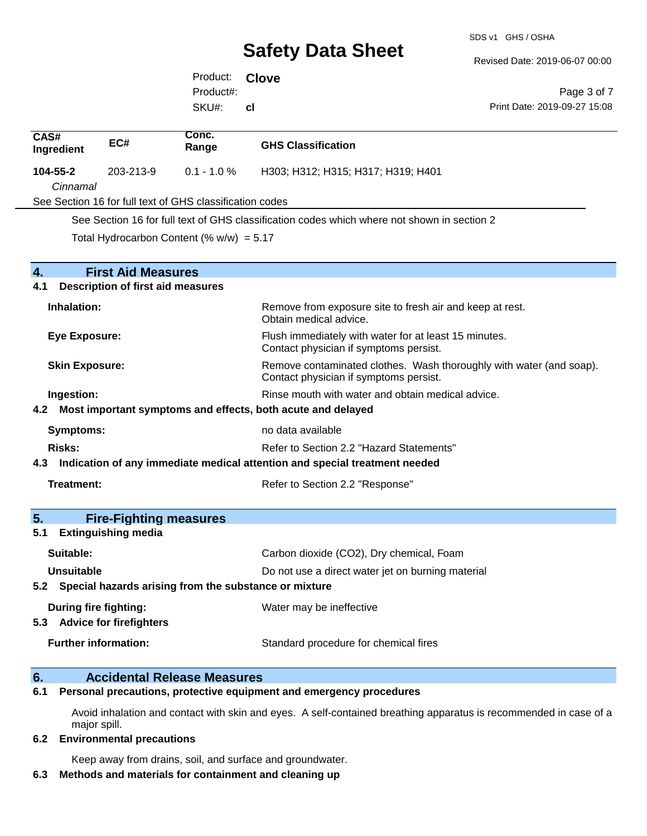SDS v1 GHS / OSHA

Revised Date: 2019-06-07 00:00

Print Date: 2019-09-27 15:08

Page 3 of 7

Product: **Clove**  SKU#: Product#: **cl**

| CAS#<br>Ingredient                                                             | EC#                                               | Conc.<br>Range                                                      | <b>GHS Classification</b>                                                                       |  |
|--------------------------------------------------------------------------------|---------------------------------------------------|---------------------------------------------------------------------|-------------------------------------------------------------------------------------------------|--|
| 104-55-2                                                                       | 203-213-9                                         | $0.1 - 1.0 \%$                                                      | H303; H312; H315; H317; H319; H401                                                              |  |
| Cinnamal                                                                       |                                                   |                                                                     |                                                                                                 |  |
|                                                                                |                                                   | See Section 16 for full text of GHS classification codes            |                                                                                                 |  |
|                                                                                |                                                   |                                                                     | See Section 16 for full text of GHS classification codes which where not shown in section 2     |  |
|                                                                                |                                                   | Total Hydrocarbon Content (% $w/w$ ) = 5.17                         |                                                                                                 |  |
| $\mathbf{A}_{\cdot}$                                                           | <b>First Aid Measures</b>                         |                                                                     |                                                                                                 |  |
| 4.1                                                                            | <b>Description of first aid measures</b>          |                                                                     |                                                                                                 |  |
| Inhalation:                                                                    |                                                   |                                                                     | Remove from exposure site to fresh air and keep at rest.<br>Obtain medical advice.              |  |
| <b>Eye Exposure:</b>                                                           |                                                   |                                                                     | Flush immediately with water for at least 15 minutes.<br>Contact physician if symptoms persist. |  |
| <b>Skin Exposure:</b><br>Contact physician if symptoms persist.                |                                                   | Remove contaminated clothes. Wash thoroughly with water (and soap). |                                                                                                 |  |
| Ingestion:                                                                     | Rinse mouth with water and obtain medical advice. |                                                                     |                                                                                                 |  |
|                                                                                |                                                   |                                                                     | 4.2 Most important symptoms and effects, both acute and delayed                                 |  |
| no data available<br><b>Symptoms:</b>                                          |                                                   |                                                                     |                                                                                                 |  |
| Risks:                                                                         |                                                   |                                                                     | Refer to Section 2.2 "Hazard Statements"                                                        |  |
| 4.3 Indication of any immediate medical attention and special treatment needed |                                                   |                                                                     |                                                                                                 |  |
| Treatment:                                                                     |                                                   |                                                                     | Refer to Section 2.2 "Response"                                                                 |  |
| 5 <sub>1</sub>                                                                 | <b>Fire-Fighting measures</b>                     |                                                                     |                                                                                                 |  |
| 5.1                                                                            | <b>Extinguishing media</b>                        |                                                                     |                                                                                                 |  |
| Suitable:                                                                      |                                                   |                                                                     | Carbon dioxide (CO2), Dry chemical, Foam                                                        |  |
| Unsuitable                                                                     |                                                   |                                                                     | Do not use a direct water jet on burning material                                               |  |
|                                                                                |                                                   | 5.2 Special hazards arising from the substance or mixture           |                                                                                                 |  |
| <b>During fire fighting:</b><br>5.3 Advice for firefighters                    |                                                   |                                                                     | Water may be ineffective                                                                        |  |
| <b>Further information:</b>                                                    |                                                   |                                                                     | Standard procedure for chemical fires                                                           |  |

## **6. Accidental Release Measures**

**6.1 Personal precautions, protective equipment and emergency procedures**

Avoid inhalation and contact with skin and eyes. A self-contained breathing apparatus is recommended in case of a major spill.

#### **6.2 Environmental precautions**

Keep away from drains, soil, and surface and groundwater.

#### **6.3 Methods and materials for containment and cleaning up**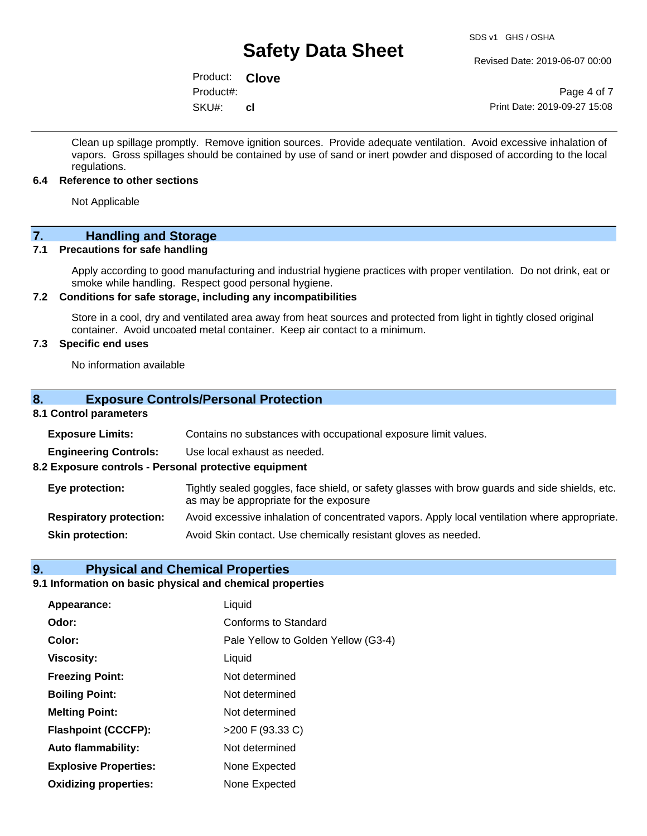Revised Date: 2019-06-07 00:00

Product: **Clove**  SKU#: Product#: **cl**

Page 4 of 7 Print Date: 2019-09-27 15:08

Clean up spillage promptly. Remove ignition sources. Provide adequate ventilation. Avoid excessive inhalation of vapors. Gross spillages should be contained by use of sand or inert powder and disposed of according to the local regulations.

#### **6.4 Reference to other sections**

Not Applicable

# **7. Handling and Storage**

#### **7.1 Precautions for safe handling**

Apply according to good manufacturing and industrial hygiene practices with proper ventilation. Do not drink, eat or smoke while handling. Respect good personal hygiene.

#### **7.2 Conditions for safe storage, including any incompatibilities**

Store in a cool, dry and ventilated area away from heat sources and protected from light in tightly closed original container. Avoid uncoated metal container. Keep air contact to a minimum.

## **7.3 Specific end uses**

No information available

#### **8. Exposure Controls/Personal Protection**

### **8.1 Control parameters**

| <b>Exposure Limits:</b>                               | Contains no substances with occupational exposure limit values.                                                                          |  |  |  |
|-------------------------------------------------------|------------------------------------------------------------------------------------------------------------------------------------------|--|--|--|
| <b>Engineering Controls:</b>                          | Use local exhaust as needed.                                                                                                             |  |  |  |
| 8.2 Exposure controls - Personal protective equipment |                                                                                                                                          |  |  |  |
| Eye protection:                                       | Tightly sealed goggles, face shield, or safety glasses with brow guards and side shields, etc.<br>as may be appropriate for the exposure |  |  |  |
| <b>Respiratory protection:</b>                        | Avoid excessive inhalation of concentrated vapors. Apply local ventilation where appropriate.                                            |  |  |  |
| <b>Skin protection:</b>                               | Avoid Skin contact. Use chemically resistant gloves as needed.                                                                           |  |  |  |

#### **9. Physical and Chemical Properties**

## **9.1 Information on basic physical and chemical properties**

| Appearance:                  | Liquid                              |
|------------------------------|-------------------------------------|
| Odor:                        | Conforms to Standard                |
| Color:                       | Pale Yellow to Golden Yellow (G3-4) |
| <b>Viscosity:</b>            | Liquid                              |
| <b>Freezing Point:</b>       | Not determined                      |
| <b>Boiling Point:</b>        | Not determined                      |
| <b>Melting Point:</b>        | Not determined                      |
| <b>Flashpoint (CCCFP):</b>   | >200 F (93.33 C)                    |
| <b>Auto flammability:</b>    | Not determined                      |
| <b>Explosive Properties:</b> | None Expected                       |
| <b>Oxidizing properties:</b> | None Expected                       |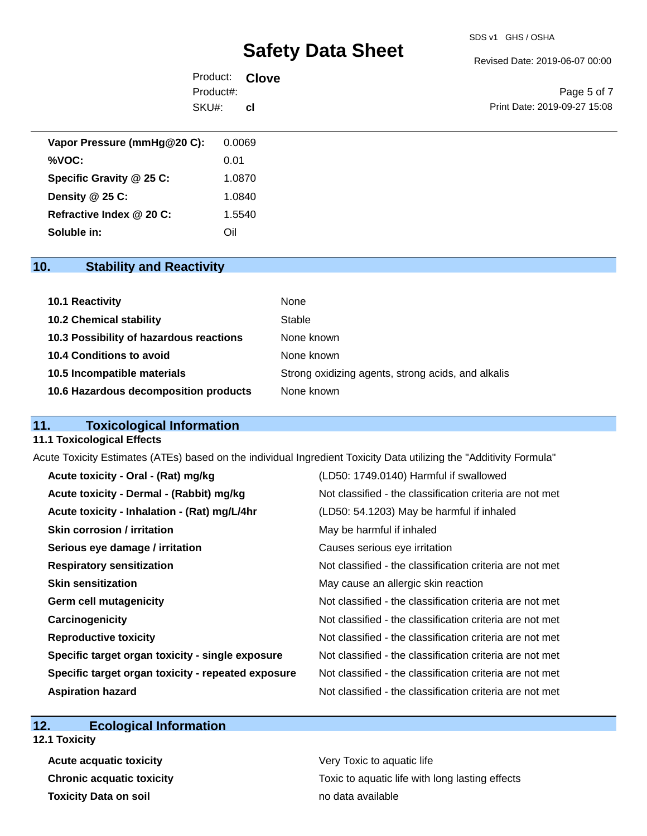#### SDS v1 GHS / OSHA

# **Safety Data Sheet**

Revised Date: 2019-06-07 00:00

| Product: Clove |           |                              |
|----------------|-----------|------------------------------|
| Product#:      |           | Page 5 of 7                  |
| SKU#:          | <b>CI</b> | Print Date: 2019-09-27 15:08 |

| Vapor Pressure (mmHg@20 C): | 0.0069 |
|-----------------------------|--------|
| %VOC:                       | 0.01   |
| Specific Gravity @ 25 C:    | 1.0870 |
| Density $@25C$ :            | 1.0840 |
| Refractive Index @ 20 C:    | 1.5540 |
| Soluble in:                 | Oil    |

# **10. Stability and Reactivity**

| 10.1 Reactivity                         | None                                               |
|-----------------------------------------|----------------------------------------------------|
| <b>10.2 Chemical stability</b>          | Stable                                             |
| 10.3 Possibility of hazardous reactions | None known                                         |
| 10.4 Conditions to avoid                | None known                                         |
| 10.5 Incompatible materials             | Strong oxidizing agents, strong acids, and alkalis |
| 10.6 Hazardous decomposition products   | None known                                         |

# **11. Toxicological Information**

#### **11.1 Toxicological Effects**

Acute Toxicity Estimates (ATEs) based on the individual Ingredient Toxicity Data utilizing the "Additivity Formula"

| Acute toxicity - Oral - (Rat) mg/kg                | (LD50: 1749.0140) Harmful if swallowed                   |
|----------------------------------------------------|----------------------------------------------------------|
| Acute toxicity - Dermal - (Rabbit) mg/kg           | Not classified - the classification criteria are not met |
| Acute toxicity - Inhalation - (Rat) mg/L/4hr       | (LD50: 54.1203) May be harmful if inhaled                |
| <b>Skin corrosion / irritation</b>                 | May be harmful if inhaled                                |
| Serious eye damage / irritation                    | Causes serious eye irritation                            |
| <b>Respiratory sensitization</b>                   | Not classified - the classification criteria are not met |
| <b>Skin sensitization</b>                          | May cause an allergic skin reaction                      |
| <b>Germ cell mutagenicity</b>                      | Not classified - the classification criteria are not met |
| Carcinogenicity                                    | Not classified - the classification criteria are not met |
| <b>Reproductive toxicity</b>                       | Not classified - the classification criteria are not met |
| Specific target organ toxicity - single exposure   | Not classified - the classification criteria are not met |
| Specific target organ toxicity - repeated exposure | Not classified - the classification criteria are not met |
| <b>Aspiration hazard</b>                           | Not classified - the classification criteria are not met |

## **12. Ecological Information**

**12.1 Toxicity**

**Acute acquatic toxicity Very Toxic to aquatic life Toxicity Data on soil no data available no data available** 

**Chronic acquatic toxicity Toxic to aquatic life with long lasting effects**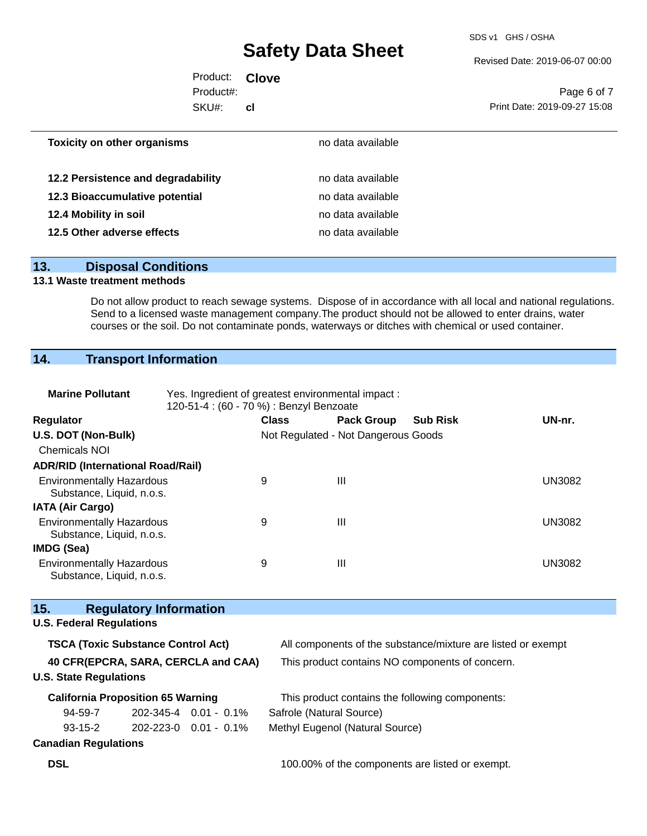SDS v1 GHS / OSHA

Revised Date: 2019-06-07 00:00

| Product: <b>Clove</b> |     |                              |
|-----------------------|-----|------------------------------|
| Product#:             |     | Page 6 of 7                  |
| SKU#:                 | cl. | Print Date: 2019-09-27 15:08 |
|                       |     |                              |

| <b>Toxicity on other organisms</b> | no data available |  |
|------------------------------------|-------------------|--|
|                                    |                   |  |
| 12.2 Persistence and degradability | no data available |  |
| 12.3 Bioaccumulative potential     | no data available |  |
| 12.4 Mobility in soil              | no data available |  |
| 12.5 Other adverse effects         | no data available |  |
|                                    |                   |  |

## **13. Disposal Conditions**

## **13.1 Waste treatment methods**

Do not allow product to reach sewage systems. Dispose of in accordance with all local and national regulations. Send to a licensed waste management company.The product should not be allowed to enter drains, water courses or the soil. Do not contaminate ponds, waterways or ditches with chemical or used container.

# **14. Transport Information**

| <b>Marine Pollutant</b>                                              | Yes. Ingredient of greatest environmental impact:<br>120-51-4 : (60 - 70 %) : Benzyl Benzoate |                                     |                   |                                                              |               |  |  |
|----------------------------------------------------------------------|-----------------------------------------------------------------------------------------------|-------------------------------------|-------------------|--------------------------------------------------------------|---------------|--|--|
| Regulator                                                            |                                                                                               | <b>Class</b>                        | <b>Pack Group</b> | <b>Sub Risk</b>                                              | UN-nr.        |  |  |
| U.S. DOT (Non-Bulk)                                                  |                                                                                               | Not Regulated - Not Dangerous Goods |                   |                                                              |               |  |  |
| <b>Chemicals NOI</b>                                                 |                                                                                               |                                     |                   |                                                              |               |  |  |
| <b>ADR/RID (International Road/Rail)</b>                             |                                                                                               |                                     |                   |                                                              |               |  |  |
| <b>Environmentally Hazardous</b><br>Substance, Liquid, n.o.s.        |                                                                                               | 9                                   | $\mathbf{III}$    |                                                              | <b>UN3082</b> |  |  |
| <b>IATA (Air Cargo)</b>                                              |                                                                                               |                                     |                   |                                                              |               |  |  |
| <b>Environmentally Hazardous</b><br>Substance, Liquid, n.o.s.        |                                                                                               | 9                                   | Ш                 |                                                              | <b>UN3082</b> |  |  |
| <b>IMDG (Sea)</b>                                                    |                                                                                               |                                     |                   |                                                              |               |  |  |
| <b>Environmentally Hazardous</b><br>Substance, Liquid, n.o.s.        |                                                                                               | 9                                   | $\mathbf{III}$    |                                                              | <b>UN3082</b> |  |  |
| 15.<br><b>Regulatory Information</b>                                 |                                                                                               |                                     |                   |                                                              |               |  |  |
| <b>U.S. Federal Regulations</b>                                      |                                                                                               |                                     |                   |                                                              |               |  |  |
| <b>TSCA (Toxic Substance Control Act)</b>                            |                                                                                               |                                     |                   | All components of the substance/mixture are listed or exempt |               |  |  |
| 40 CFR(EPCRA, SARA, CERCLA and CAA)<br><b>U.S. State Regulations</b> |                                                                                               |                                     |                   | This product contains NO components of concern.              |               |  |  |
| <b>California Proposition 65 Warning</b>                             |                                                                                               |                                     |                   | This product contains the following components:              |               |  |  |
| 94-59-7                                                              | $202 - 345 - 4$ 0.01 - 0.1%                                                                   | Safrole (Natural Source)            |                   |                                                              |               |  |  |
| $93 - 15 - 2$                                                        | 202-223-0  0.01 - 0.1%                                                                        | Methyl Eugenol (Natural Source)     |                   |                                                              |               |  |  |
| <b>Canadian Regulations</b>                                          |                                                                                               |                                     |                   |                                                              |               |  |  |

**DSL DSL 100.00%** of the components are listed or exempt.